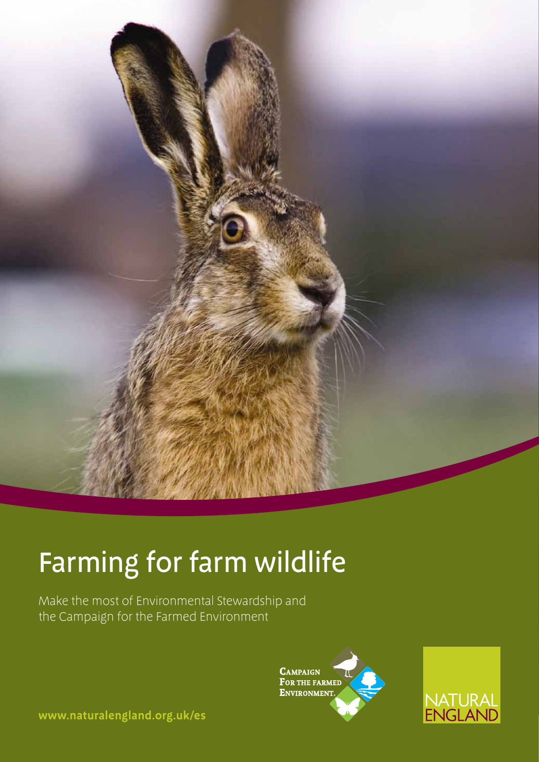

# Farming for farm wildlife

Make the most of Environmental Stewardship and the Campaign for the Farmed Environment





**www.naturalengland.org.uk/es**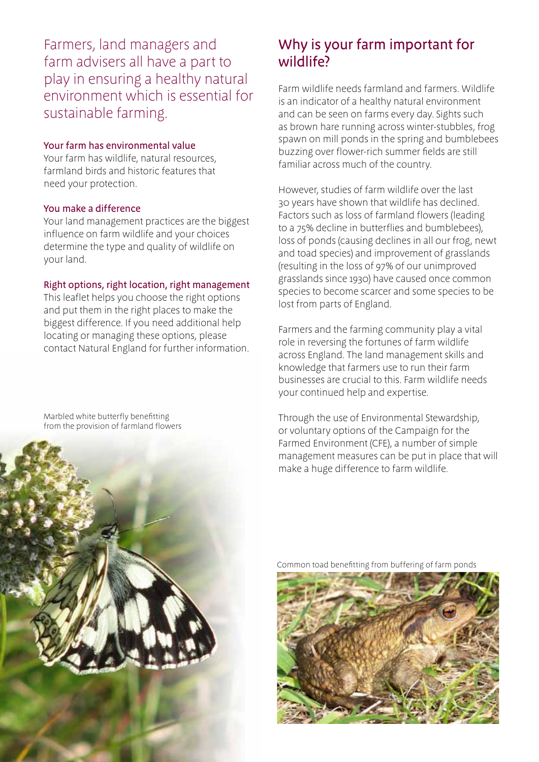Farmers, land managers and farm advisers all have a part to play in ensuring a healthy natural environment which is essential for sustainable farming.

#### Your farm has environmental value

Your farm has wildlife, natural resources, farmland birds and historic features that need your protection.

#### You make a difference

Your land management practices are the biggest influence on farm wildlife and your choices determine the type and quality of wildlife on your land.

#### Right options, right location, right management

This leaflet helps you choose the right options and put them in the right places to make the biggest difference. If you need additional help locating or managing these options, please contact Natural England for further information.

Marbled white butterfly benefitting from the provision of farmland flowers

## Why is your farm important for wildlife?

Farm wildlife needs farmland and farmers. Wildlife is an indicator of a healthy natural environment and can be seen on farms every day. Sights such as brown hare running across winter-stubbles, frog spawn on mill ponds in the spring and bumblebees buzzing over flower-rich summer fields are still familiar across much of the country.

However, studies of farm wildlife over the last 30 years have shown that wildlife has declined. Factors such as loss of farmland flowers (leading to a 75% decline in butterflies and bumblebees), loss of ponds (causing declines in all our frog, newt and toad species) and improvement of grasslands (resulting in the loss of 97% of our unimproved grasslands since 1930) have caused once common species to become scarcer and some species to be lost from parts of England.

Farmers and the farming community play a vital role in reversing the fortunes of farm wildlife across England. The land management skills and knowledge that farmers use to run their farm businesses are crucial to this. Farm wildlife needs your continued help and expertise.

Through the use of Environmental Stewardship, or voluntary options of the Campaign for the Farmed Environment (CFE), a number of simple management measures can be put in place that will make a huge difference to farm wildlife.



Common toad benefitting from buffering of farm ponds

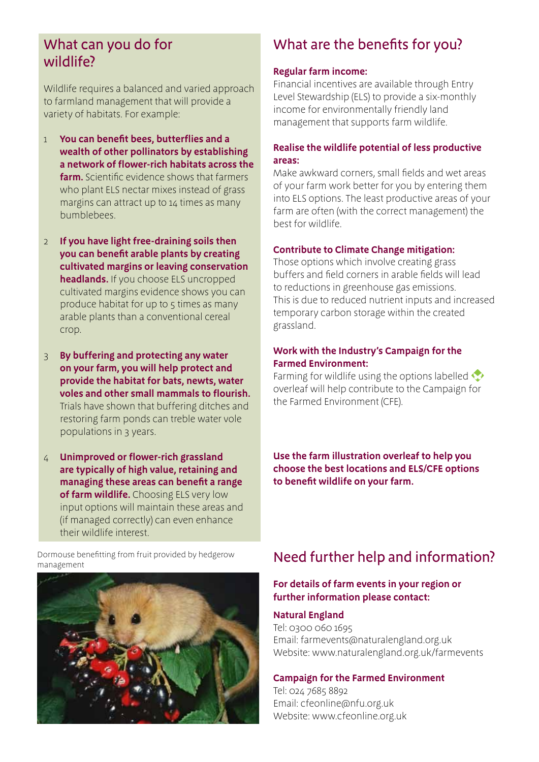### What can you do for wildlife?

Wildlife requires a balanced and varied approach to farmland management that will provide a variety of habitats. For example:

- 1 **You can benefit bees, butterflies and a wealth of other pollinators by establishing a network of flower-rich habitats across the farm.** Scientific evidence shows that farmers who plant ELS nectar mixes instead of grass margins can attract up to 14 times as many bumblebees.
- 2 **If you have light free-draining soils then you can benefit arable plants by creating cultivated margins or leaving conservation headlands.** If you choose ELS uncropped cultivated margins evidence shows you can produce habitat for up to  $5$  times as many arable plants than a conventional cereal crop.
- 3 **By buffering and protecting any water on your farm, you will help protect and provide the habitat for bats, newts, water voles and other small mammals to flourish.** Trials have shown that buffering ditches and restoring farm ponds can treble water vole populations in 3 years.
- 4 **Unimproved or flower-rich grassland are typically of high value, retaining and managing these areas can benefit a range of farm wildlife.** Choosing ELS very low input options will maintain these areas and (if managed correctly) can even enhance their wildlife interest.

Dormouse benefitting from fruit provided by hedgerow management



## What are the benefits for you?

#### **Regular farm income:**

Financial incentives are available through Entry Level Stewardship (ELS) to provide a six-monthly income for environmentally friendly land management that supports farm wildlife.

#### **Realise the wildlife potential of less productive areas:**

Make awkward corners, small fields and wet areas of your farm work better for you by entering them into ELS options. The least productive areas of your farm are often (with the correct management) the best for wildlife.

#### **Contribute to Climate Change mitigation:**

Those options which involve creating grass buffers and field corners in arable fields will lead to reductions in greenhouse gas emissions. This is due to reduced nutrient inputs and increased temporary carbon storage within the created grassland.

#### **Work with the Industry's Campaign for the Farmed Environment:**

Farming for wildlife using the options labelled overleaf will help contribute to the Campaign for the Farmed Environment (CFE).

**Use the farm illustration overleaf to help you choose the best locations and ELS/CFE options to benefit wildlife on your farm.** 

## Need further help and information?

#### **For details of farm events in your region or further information please contact:**

#### **Natural England**

Tel: 0300 060 1695 Email: farmevents@naturalengland.org.uk Website: www.naturalengland.org.uk/farmevents

#### **Campaign for the Farmed Environment**

Tel: 024 7685 8892 Email: cfeonline@nfu.org.uk Website: www.cfeonline.org.uk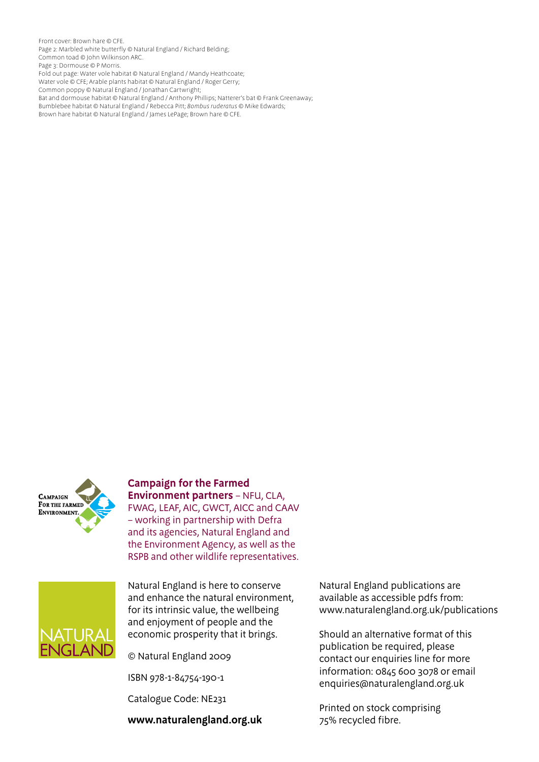Front cover: Brown hare © CFE. Page 2: Marbled white butterfly @ Natural England / Richard Belding; Common toad © John Wilkinson ARC. Page 3: Dormouse © P Morris. Fold out page: Water vole habitat © Natural England / Mandy Heathcoate; Water vole © CFE; Arable plants habitat © Natural England / Roger Gerry; Common poppy © Natural England / Jonathan Cartwright; Bat and dormouse habitat © Natural England / Anthony Phillips; Natterer's bat © Frank Greenaway; Bumblebee habitat © Natural England / Rebecca Pitt; *Bombus ruderatus* © Mike Edwards; Brown hare habitat © Natural England / James LePage; Brown hare © CFE.



### **Campaign for the Farmed**

**Environment partners** – NFU, CLA, FWAG, LEAF, AIC, GWCT, AICC and CAAV – working in partnership with Defra and its agencies, Natural England and the Environment Agency, as well as the RSPB and other wildlife representatives.



Natural England is here to conserve and enhance the natural environment, for its intrinsic value, the wellbeing and enjoyment of people and the economic prosperity that it brings.

© Natural England 2009

ISBN 978-1-84754-190-1

Catalogue Code: NE231

**www.naturalengland.org.uk**

Natural England publications are available as accessible pdfs from: www.naturalengland.org.uk/publications

Should an alternative format of this publication be required, please contact our enquiries line for more information: 0845 600 3078 or email enquiries@naturalengland.org.uk

Printed on stock comprising 75% recycled fibre.